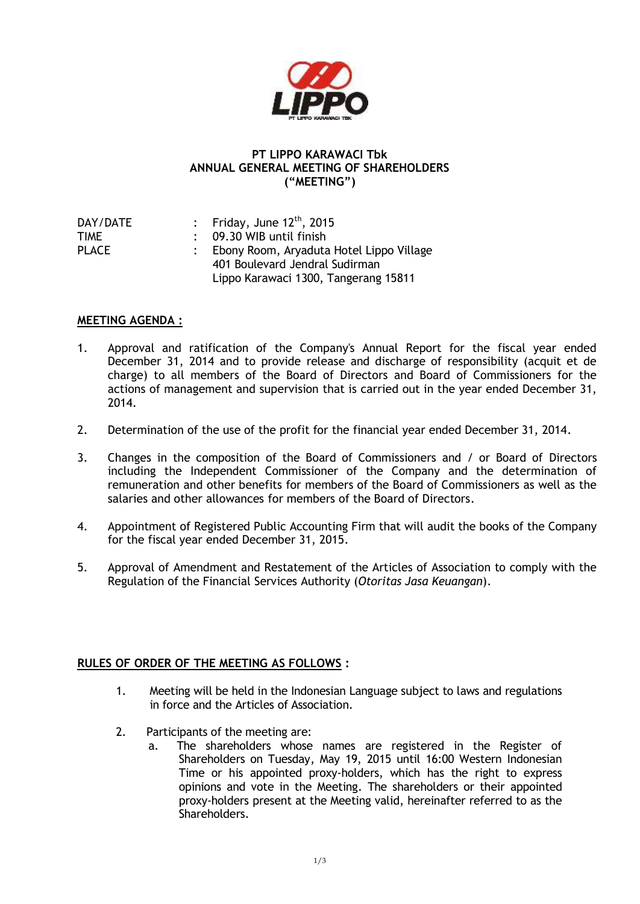

## **PT LIPPO KARAWACI Tbk ANNUAL GENERAL MEETING OF SHAREHOLDERS ("MEETING")**

| DAY/DATE | : Friday, June $12^{\text{th}}$ , 2015     |
|----------|--------------------------------------------|
| TIME     | $\therefore$ 09.30 WIB until finish        |
| PLACE    | : Ebony Room, Aryaduta Hotel Lippo Village |
|          | 401 Boulevard Jendral Sudirman             |
|          | Lippo Karawaci 1300, Tangerang 15811       |

## **MEETING AGENDA :**

- 1. Approval and ratification of the Company's Annual Report for the fiscal year ended December 31, 2014 and to provide release and discharge of responsibility (acquit et de charge) to all members of the Board of Directors and Board of Commissioners for the actions of management and supervision that is carried out in the year ended December 31, 2014.
- 2. Determination of the use of the profit for the financial year ended December 31, 2014.
- 3. Changes in the composition of the Board of Commissioners and / or Board of Directors including the Independent Commissioner of the Company and the determination of remuneration and other benefits for members of the Board of Commissioners as well as the salaries and other allowances for members of the Board of Directors.
- 4. Appointment of Registered Public Accounting Firm that will audit the books of the Company for the fiscal year ended December 31, 2015.
- 5. Approval of Amendment and Restatement of the Articles of Association to comply with the Regulation of the Financial Services Authority (*Otoritas Jasa Keuangan*).

## **RULES OF ORDER OF THE MEETING AS FOLLOWS :**

- 1. Meeting will be held in the Indonesian Language subject to laws and regulations in force and the Articles of Association.
- 2. Participants of the meeting are:
	- a. The shareholders whose names are registered in the Register of Shareholders on Tuesday, May 19, 2015 until 16:00 Western Indonesian Time or his appointed proxy-holders, which has the right to express opinions and vote in the Meeting. The shareholders or their appointed proxy-holders present at the Meeting valid, hereinafter referred to as the Shareholders.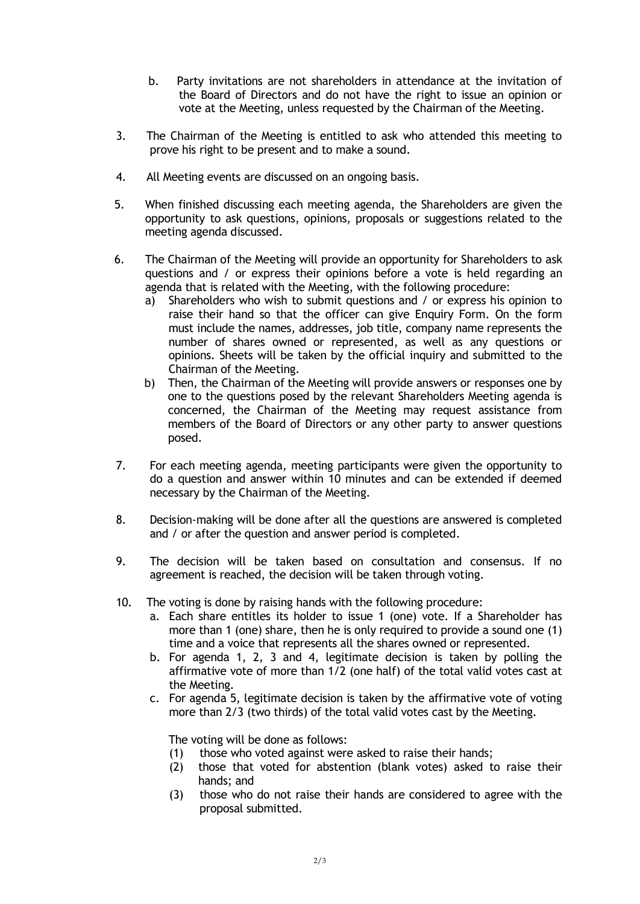- b. Party invitations are not shareholders in attendance at the invitation of the Board of Directors and do not have the right to issue an opinion or vote at the Meeting, unless requested by the Chairman of the Meeting.
- 3. The Chairman of the Meeting is entitled to ask who attended this meeting to prove his right to be present and to make a sound.
- 4. All Meeting events are discussed on an ongoing basis.
- 5. When finished discussing each meeting agenda, the Shareholders are given the opportunity to ask questions, opinions, proposals or suggestions related to the meeting agenda discussed.
- 6. The Chairman of the Meeting will provide an opportunity for Shareholders to ask questions and / or express their opinions before a vote is held regarding an agenda that is related with the Meeting, with the following procedure:
	- a) Shareholders who wish to submit questions and / or express his opinion to raise their hand so that the officer can give Enquiry Form. On the form must include the names, addresses, job title, company name represents the number of shares owned or represented, as well as any questions or opinions. Sheets will be taken by the official inquiry and submitted to the Chairman of the Meeting.
	- b) Then, the Chairman of the Meeting will provide answers or responses one by one to the questions posed by the relevant Shareholders Meeting agenda is concerned, the Chairman of the Meeting may request assistance from members of the Board of Directors or any other party to answer questions posed.
- 7. For each meeting agenda, meeting participants were given the opportunity to do a question and answer within 10 minutes and can be extended if deemed necessary by the Chairman of the Meeting.
- 8. Decision-making will be done after all the questions are answered is completed and / or after the question and answer period is completed.
- 9. The decision will be taken based on consultation and consensus. If no agreement is reached, the decision will be taken through voting.
- 10. The voting is done by raising hands with the following procedure:
	- a. Each share entitles its holder to issue 1 (one) vote. If a Shareholder has more than 1 (one) share, then he is only required to provide a sound one (1) time and a voice that represents all the shares owned or represented.
	- b. For agenda 1, 2, 3 and 4, legitimate decision is taken by polling the affirmative vote of more than 1/2 (one half) of the total valid votes cast at the Meeting.
	- c. For agenda 5, legitimate decision is taken by the affirmative vote of voting more than 2/3 (two thirds) of the total valid votes cast by the Meeting.

The voting will be done as follows:

- (1) those who voted against were asked to raise their hands;
- (2) those that voted for abstention (blank votes) asked to raise their hands; and
- (3) those who do not raise their hands are considered to agree with the proposal submitted.